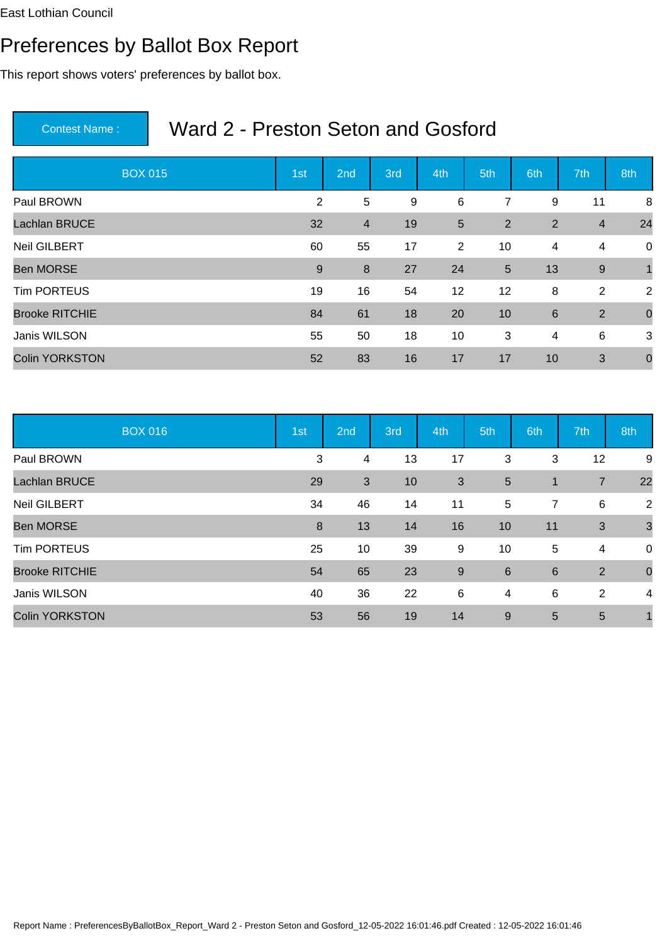# Preferences by Ballot Box Report

This report shows voters' preferences by ballot box.

| <b>BOX 015</b>        | 1st | 2 <sub>nd</sub> | 3rd | 4th            | 5th            | 6th            | 7th            | 8th            |
|-----------------------|-----|-----------------|-----|----------------|----------------|----------------|----------------|----------------|
| Paul BROWN            | 2   | 5               | 9   | $\,6\,$        | 7              | 9              | 11             | 8              |
| <b>Lachlan BRUCE</b>  | 32  | $\overline{4}$  | 19  | 5              | 2              | $\overline{2}$ | $\overline{4}$ | 24             |
| <b>Neil GILBERT</b>   | 60  | 55              | 17  | $\overline{2}$ | 10             | 4              | $\overline{4}$ | $\mathbf 0$    |
| <b>Ben MORSE</b>      | 9   | 8               | 27  | 24             | $5\phantom{1}$ | 13             | $9\,$          |                |
| <b>Tim PORTEUS</b>    | 19  | 16              | 54  | 12             | 12             | 8              | $\overline{2}$ | 2              |
| <b>Brooke RITCHIE</b> | 84  | 61              | 18  | 20             | 10             | $6\phantom{1}$ | $\overline{2}$ | $\overline{0}$ |
| Janis WILSON          | 55  | 50              | 18  | 10             | 3              | 4              | 6              | 3              |
| <b>Colin YORKSTON</b> | 52  | 83              | 16  | 17             | 17             | 10             | 3              | $\mathbf 0$    |

|                       | <b>BOX 016</b> | 1st | 2nd                     | 3rd | 4th | 5th             | 6th            | 7th            | 8th              |
|-----------------------|----------------|-----|-------------------------|-----|-----|-----------------|----------------|----------------|------------------|
| Paul BROWN            |                | 3   | $\overline{\mathbf{4}}$ | 13  | 17  | 3               | 3              | 12             | 9                |
| Lachlan BRUCE         |                | 29  | 3                       | 10  | 3   | $5\phantom{.0}$ | $\mathbf{1}$   | $\overline{7}$ | 22               |
| <b>Neil GILBERT</b>   |                | 34  | 46                      | 14  | 11  | 5               | 7              | 6              | $\overline{2}$   |
| <b>Ben MORSE</b>      |                | 8   | 13                      | 14  | 16  | 10              | 11             | $\mathbf{3}$   | $\mathbf{3}$     |
| <b>Tim PORTEUS</b>    |                | 25  | 10                      | 39  | 9   | 10              | 5              | 4              | $\boldsymbol{0}$ |
| <b>Brooke RITCHIE</b> |                | 54  | 65                      | 23  | 9   | 6               | $6\phantom{1}$ | 2              | $\mathbf 0$      |
| Janis WILSON          |                | 40  | 36                      | 22  | 6   | 4               | $\,6$          | 2              | 4                |
| <b>Colin YORKSTON</b> |                | 53  | 56                      | 19  | 14  | 9               | 5              | 5              |                  |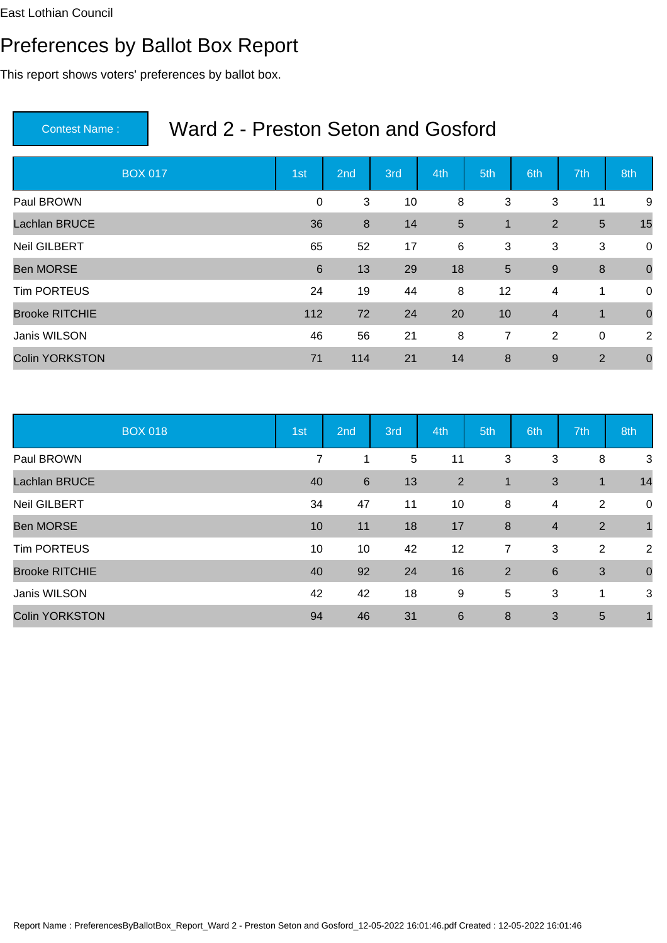# Preferences by Ballot Box Report

This report shows voters' preferences by ballot box.

| <b>BOX 017</b>        | 1st         | 2 <sub>nd</sub> | 3rd | 4th | 5th             | 6th            | 7th            | 8th            |
|-----------------------|-------------|-----------------|-----|-----|-----------------|----------------|----------------|----------------|
| Paul BROWN            | $\mathbf 0$ | 3               | 10  | 8   | 3               | 3              | 11             | 9              |
| <b>Lachlan BRUCE</b>  | 36          | 8               | 14  | 5   | $\mathbf 1$     | 2              | $\overline{5}$ | 15             |
| <b>Neil GILBERT</b>   | 65          | 52              | 17  | 6   | 3               | 3              | 3              | $\overline{0}$ |
| <b>Ben MORSE</b>      | 6           | 13              | 29  | 18  | $5\phantom{.0}$ | 9              | 8              | $\overline{0}$ |
| <b>Tim PORTEUS</b>    | 24          | 19              | 44  | 8   | 12              | 4              | 1              | $\mathbf 0$    |
| <b>Brooke RITCHIE</b> | 112         | 72              | 24  | 20  | 10              | $\overline{4}$ | $\mathbf 1$    | $\overline{0}$ |
| Janis WILSON          | 46          | 56              | 21  | 8   | $\overline{7}$  | $\overline{2}$ | $\mathbf 0$    | 2              |
| <b>Colin YORKSTON</b> | 71          | 114             | 21  | 14  | 8               | $9\,$          | $\overline{2}$ | $\mathbf 0$    |

| <b>BOX 018</b>        | 1st | 2nd    | 3rd | 4th            | 5th            | 6th            | 7th         | 8th            |
|-----------------------|-----|--------|-----|----------------|----------------|----------------|-------------|----------------|
| Paul BROWN            |     | 7<br>1 | 5   | 11             | 3              | 3              | 8           | 3              |
| <b>Lachlan BRUCE</b>  | 40  | 6      | 13  | $\overline{2}$ | $\mathbf{1}$   | 3              | $\mathbf 1$ | 14             |
| <b>Neil GILBERT</b>   | 34  | 47     | 11  | 10             | 8              | 4              | 2           | 0              |
| <b>Ben MORSE</b>      | 10  | 11     | 18  | 17             | 8              | $\overline{4}$ | 2           | $\mathbf{1}$   |
| <b>Tim PORTEUS</b>    | 10  | 10     | 42  | 12             | $\overline{7}$ | 3              | 2           | $\overline{2}$ |
| <b>Brooke RITCHIE</b> | 40  | 92     | 24  | 16             | 2              | $6\phantom{1}$ | 3           | $\mathbf 0$    |
| Janis WILSON          | 42  | 42     | 18  | 9              | 5              | 3              | 1           | 3              |
| <b>Colin YORKSTON</b> | 94  | 46     | 31  | 6              | 8              | 3              | 5           | $\mathbf 1$    |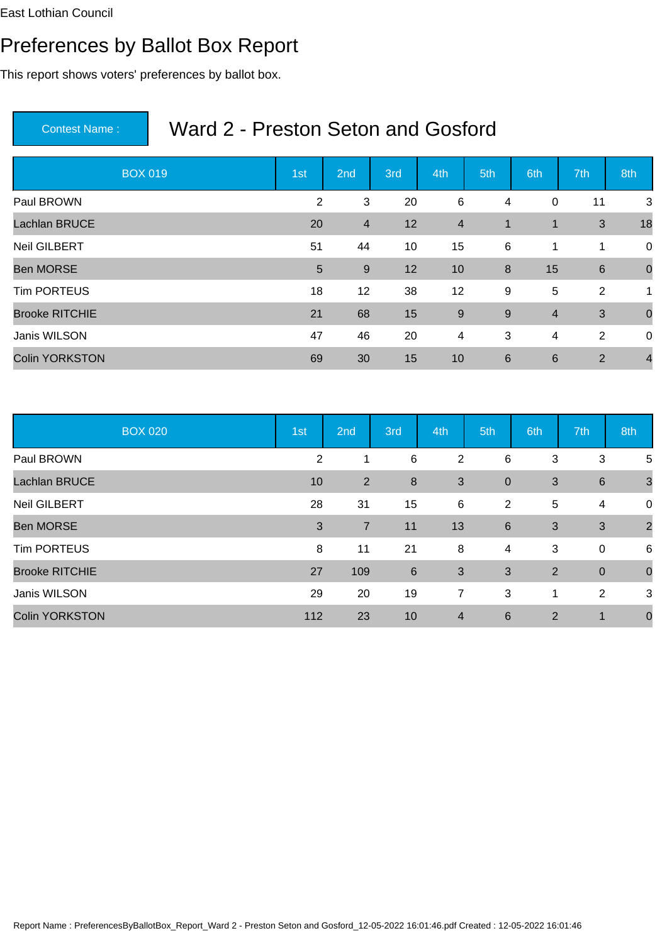# Preferences by Ballot Box Report

This report shows voters' preferences by ballot box.

| <b>BOX 019</b>        | 1st             | 2 <sub>nd</sub> | 3rd | 4th            | 5th              | 6th            | 7th            | 8th            |
|-----------------------|-----------------|-----------------|-----|----------------|------------------|----------------|----------------|----------------|
| Paul BROWN            | 2               | 3               | 20  | 6              | 4                | $\mathbf 0$    | 11             | 3              |
| <b>Lachlan BRUCE</b>  | 20              | $\overline{4}$  | 12  | $\overline{4}$ | 1                | $\blacksquare$ | 3              | 18             |
| <b>Neil GILBERT</b>   | 51              | 44              | 10  | 15             | 6                | $\mathbf{1}$   | 1              | $\mathbf 0$    |
| <b>Ben MORSE</b>      | $5\phantom{.0}$ | 9               | 12  | 10             | $\boldsymbol{8}$ | 15             | 6              | $\overline{0}$ |
| <b>Tim PORTEUS</b>    | 18              | 12              | 38  | 12             | 9                | 5              | 2              | 1              |
| <b>Brooke RITCHIE</b> | 21              | 68              | 15  | $\overline{9}$ | 9                | $\overline{4}$ | 3              | $\overline{0}$ |
| Janis WILSON          | 47              | 46              | 20  | $\overline{4}$ | 3                | $\overline{4}$ | 2              | $\overline{0}$ |
| <b>Colin YORKSTON</b> | 69              | 30              | 15  | 10             | $6\phantom{1}6$  | $6\phantom{1}$ | $\overline{2}$ | $\overline{4}$ |

| <b>BOX 020</b>        | 1st            | 2nd            | 3rd | 4th            | 5th            | 6th            | 7th              | 8th            |
|-----------------------|----------------|----------------|-----|----------------|----------------|----------------|------------------|----------------|
| Paul BROWN            | $\overline{2}$ |                | 6   | $\overline{2}$ | 6              | 3              | 3                | 5              |
| <b>Lachlan BRUCE</b>  | 10             | $\overline{2}$ | 8   | $\sqrt{3}$     | $\overline{0}$ | 3              | 6                | $\mathbf{3}$   |
| <b>Neil GILBERT</b>   | 28             | 31             | 15  | 6              | $\overline{2}$ | 5              | 4                | 0              |
| <b>Ben MORSE</b>      | 3              | $\overline{7}$ | 11  | 13             | 6              | 3              | 3                | $\overline{2}$ |
| <b>Tim PORTEUS</b>    | 8              | 11             | 21  | 8              | 4              | 3              | $\boldsymbol{0}$ | 6              |
| <b>Brooke RITCHIE</b> | 27             | 109            | 6   | 3              | 3              | $\overline{2}$ | $\overline{0}$   | $\mathbf 0$    |
| Janis WILSON          | 29             | 20             | 19  | 7              | 3              | 1              | $\overline{2}$   | 3              |
| <b>Colin YORKSTON</b> | 112            | 23             | 10  | $\overline{4}$ | 6              | $\overline{2}$ | 1                | $\mathbf 0$    |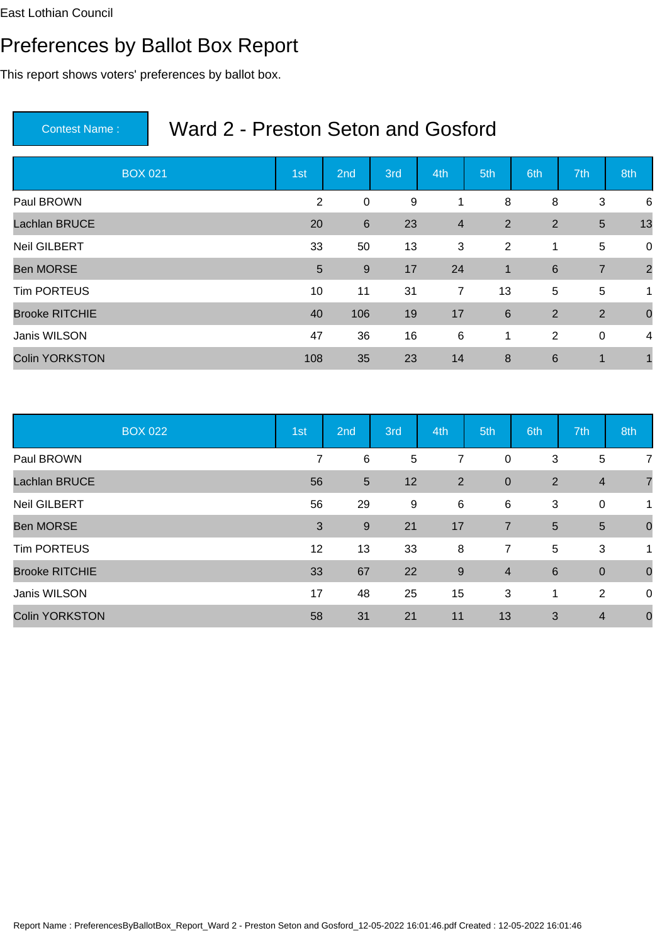# Preferences by Ballot Box Report

This report shows voters' preferences by ballot box.

| <b>BOX 021</b>        | 1st             | 2 <sub>nd</sub> | 3rd | 4th            | 5th             | 6th             | 7th            | 8th            |
|-----------------------|-----------------|-----------------|-----|----------------|-----------------|-----------------|----------------|----------------|
| Paul BROWN            | 2               | $\mathbf 0$     | 9   | 1              | 8               | 8               | 3              | 6              |
| <b>Lachlan BRUCE</b>  | 20              | 6               | 23  | $\overline{4}$ | 2               | $\overline{2}$  | $\sqrt{5}$     | 13             |
| <b>Neil GILBERT</b>   | 33              | 50              | 13  | 3              | 2               | $\mathbf{1}$    | 5              | $\overline{0}$ |
| <b>Ben MORSE</b>      | $5\phantom{.0}$ | 9               | 17  | 24             | $\mathbf 1$     | $6\phantom{1}6$ | $\overline{7}$ | $\overline{2}$ |
| <b>Tim PORTEUS</b>    | 10              | 11              | 31  | 7              | 13              | 5               | $\overline{5}$ | 1              |
| <b>Brooke RITCHIE</b> | 40              | 106             | 19  | 17             | $6\phantom{1}6$ | $\overline{2}$  | $\overline{2}$ | $\overline{0}$ |
| Janis WILSON          | 47              | 36              | 16  | 6              | 1               | 2               | $\mathbf 0$    | 4              |
| <b>Colin YORKSTON</b> | 108             | 35              | 23  | 14             | 8               | $6\phantom{1}6$ | 1              |                |

|                       | <b>BOX 022</b> | 1st | 2nd            | 3rd   | 4th            | 5th            | 6th             | 7th              | 8th            |
|-----------------------|----------------|-----|----------------|-------|----------------|----------------|-----------------|------------------|----------------|
| Paul BROWN            |                | 7   | 6              | 5     | 7              | $\mathbf 0$    | 3               | 5                | 7              |
| <b>Lachlan BRUCE</b>  |                | 56  | $\overline{5}$ | 12    | $\overline{2}$ | $\overline{0}$ | $\overline{2}$  | $\overline{4}$   | $\overline{7}$ |
| Neil GILBERT          |                | 56  | 29             | $9\,$ | 6              | 6              | 3               | $\boldsymbol{0}$ | 1              |
| <b>Ben MORSE</b>      |                | 3   | 9              | 21    | 17             | $\overline{7}$ | 5               | 5                | $\mathbf 0$    |
| <b>Tim PORTEUS</b>    |                | 12  | 13             | 33    | 8              | $\overline{7}$ | 5               | 3                | 1              |
| <b>Brooke RITCHIE</b> |                | 33  | 67             | 22    | 9              | $\overline{4}$ | $6\phantom{1}6$ | $\overline{0}$   | $\mathbf 0$    |
| Janis WILSON          |                | 17  | 48             | 25    | 15             | 3              | 1               | 2                | 0              |
| <b>Colin YORKSTON</b> |                | 58  | 31             | 21    | 11             | 13             | 3               | $\overline{4}$   | $\mathbf 0$    |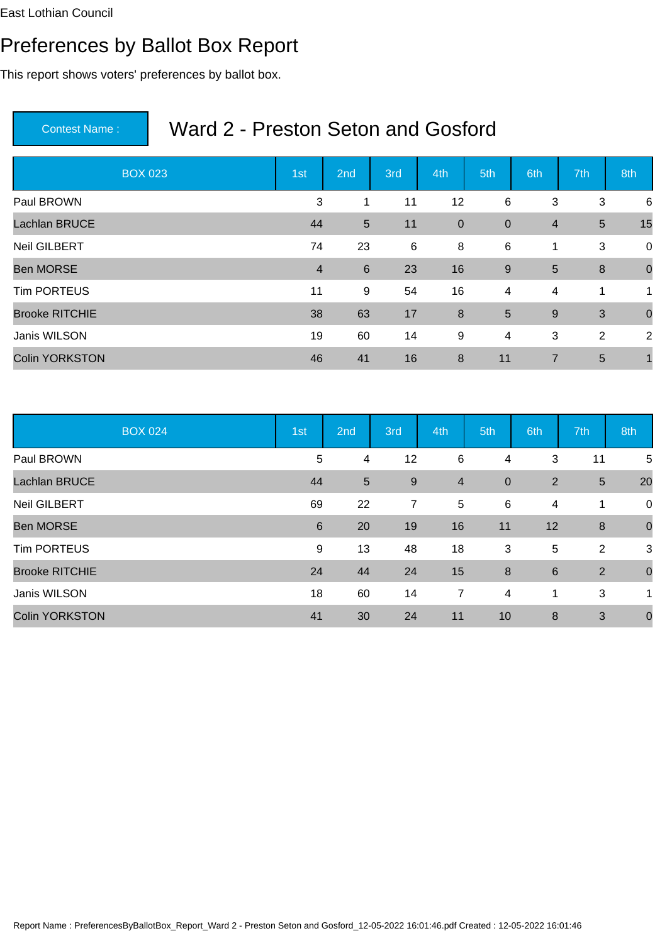# Preferences by Ballot Box Report

This report shows voters' preferences by ballot box.

| <b>BOX 023</b>        | 1st            | 2 <sub>nd</sub> | 3rd | 4th              | 5th            | 6th            | 7th            | 8th            |
|-----------------------|----------------|-----------------|-----|------------------|----------------|----------------|----------------|----------------|
| Paul BROWN            | 3              | 1               | 11  | 12               | $\,6$          | 3              | 3              | 6              |
| <b>Lachlan BRUCE</b>  | 44             | $5\phantom{1}$  | 11  | $\mathbf 0$      | $\mathbf 0$    | $\overline{4}$ | $\overline{5}$ | 15             |
| <b>Neil GILBERT</b>   | 74             | 23              | 6   | 8                | 6              | $\mathbf 1$    | 3              | $\overline{0}$ |
| <b>Ben MORSE</b>      | $\overline{4}$ | 6               | 23  | 16               | 9              | 5              | 8              | $\overline{0}$ |
| <b>Tim PORTEUS</b>    | 11             | $9\,$           | 54  | 16               | $\overline{4}$ | 4              | 1              | 1              |
| <b>Brooke RITCHIE</b> | 38             | 63              | 17  | $\boldsymbol{8}$ | 5              | 9              | 3              | $\overline{0}$ |
| Janis WILSON          | 19             | 60              | 14  | 9                | $\overline{4}$ | 3              | $\overline{2}$ | 2              |
| <b>Colin YORKSTON</b> | 46             | 41              | 16  | 8                | 11             | $\overline{7}$ | 5              |                |

|                       | <b>BOX 024</b> | 1st | 2nd            | 3rd            | 4th            | 5th            | 6th             | 7th             | 8th             |
|-----------------------|----------------|-----|----------------|----------------|----------------|----------------|-----------------|-----------------|-----------------|
| Paul BROWN            |                | 5   | 4              | 12             | 6              | 4              | 3               | 11              | $5\phantom{.0}$ |
| Lachlan BRUCE         |                | 44  | $5\phantom{1}$ | 9              | $\overline{4}$ | $\overline{0}$ | 2               | $5\phantom{.0}$ | 20              |
| <b>Neil GILBERT</b>   |                | 69  | 22             | $\overline{7}$ | 5              | 6              | 4               | 1               | 0               |
| <b>Ben MORSE</b>      |                | 6   | 20             | 19             | 16             | 11             | 12              | 8               | $\mathbf 0$     |
| <b>Tim PORTEUS</b>    |                | 9   | 13             | 48             | 18             | 3              | 5               | 2               | 3               |
| <b>Brooke RITCHIE</b> |                | 24  | 44             | 24             | 15             | 8              | $6\phantom{1}6$ | 2               | $\mathbf 0$     |
| Janis WILSON          |                | 18  | 60             | 14             | 7              | 4              | 1               | 3               | 1               |
| <b>Colin YORKSTON</b> |                | 41  | 30             | 24             | 11             | 10             | 8               | 3               | $\mathbf 0$     |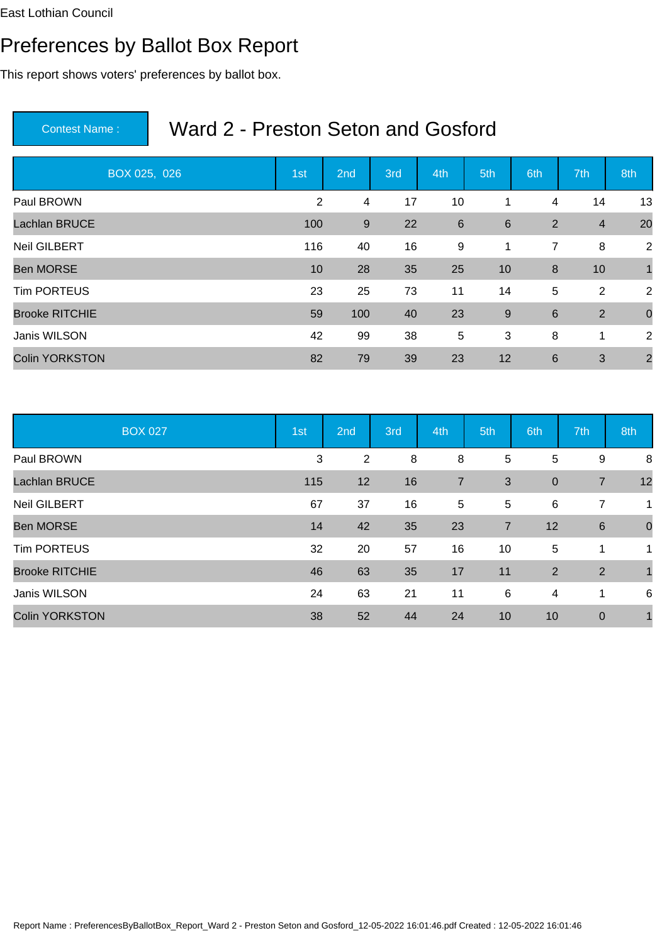# Preferences by Ballot Box Report

This report shows voters' preferences by ballot box.

| BOX 025, 026          | 1st | 2nd | 3rd | 4th | 5th   | 6th | 7th            | 8th            |
|-----------------------|-----|-----|-----|-----|-------|-----|----------------|----------------|
| Paul BROWN            | 2   | 4   | 17  | 10  | 1     | 4   | 14             | 13             |
| Lachlan BRUCE         | 100 | 9   | 22  | 6   | 6     | 2   | $\overline{4}$ | 20             |
| <b>Neil GILBERT</b>   | 116 | 40  | 16  | 9   | 1     | 7   | 8              | 2              |
| <b>Ben MORSE</b>      | 10  | 28  | 35  | 25  | 10    | 8   | 10             | 1              |
| <b>Tim PORTEUS</b>    | 23  | 25  | 73  | 11  | 14    | 5   | $\overline{2}$ | 2              |
| <b>Brooke RITCHIE</b> | 59  | 100 | 40  | 23  | $9\,$ | 6   | $\overline{2}$ | $\mathbf 0$    |
| Janis WILSON          | 42  | 99  | 38  | 5   | 3     | 8   | 1              | 2              |
| <b>Colin YORKSTON</b> | 82  | 79  | 39  | 23  | 12    | 6   | 3              | $\overline{2}$ |

|                       | <b>BOX 027</b> | 1st | 2nd            | 3rd | 4th            | 5th            | 6th              | 7th             | 8th              |
|-----------------------|----------------|-----|----------------|-----|----------------|----------------|------------------|-----------------|------------------|
| Paul BROWN            |                | 3   | $\overline{2}$ | 8   | 8              | 5              | 5                | 9               | 8                |
| <b>Lachlan BRUCE</b>  |                | 115 | 12             | 16  | $\overline{7}$ | 3              | $\boldsymbol{0}$ | $\overline{7}$  | 12               |
| <b>Neil GILBERT</b>   |                | 67  | 37             | 16  | 5              | 5              | $\,6$            | $\overline{7}$  | $\mathbf 1$      |
| <b>Ben MORSE</b>      |                | 14  | 42             | 35  | 23             | $\overline{7}$ | 12               | $6\phantom{1}6$ | $\boldsymbol{0}$ |
| <b>Tim PORTEUS</b>    |                | 32  | 20             | 57  | 16             | 10             | 5                | 1               | $\mathbf 1$      |
| <b>Brooke RITCHIE</b> |                | 46  | 63             | 35  | 17             | 11             | 2                | 2               | $\mathbf 1$      |
| Janis WILSON          |                | 24  | 63             | 21  | 11             | 6              | 4                | 1               | 6                |
| <b>Colin YORKSTON</b> |                | 38  | 52             | 44  | 24             | 10             | 10               | $\mathbf 0$     |                  |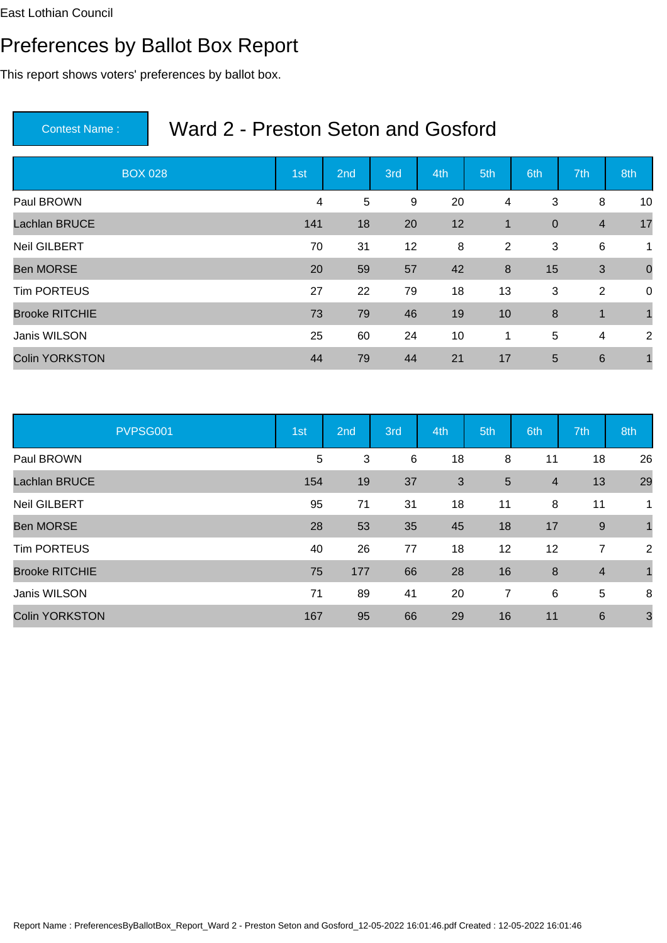# Preferences by Ballot Box Report

This report shows voters' preferences by ballot box.

| <b>BOX 028</b>        | 1st | 2nd | 3rd | 4th | 5th          | 6th              | 7th             | 8th            |
|-----------------------|-----|-----|-----|-----|--------------|------------------|-----------------|----------------|
| Paul BROWN            | 4   | 5   | 9   | 20  | 4            | 3                | 8               | 10             |
| <b>Lachlan BRUCE</b>  | 141 | 18  | 20  | 12  | $\mathbf{1}$ | $\boldsymbol{0}$ | $\overline{4}$  | 17             |
| <b>Neil GILBERT</b>   | 70  | 31  | 12  | 8   | 2            | 3                | 6               | $\mathbf{1}$   |
| <b>Ben MORSE</b>      | 20  | 59  | 57  | 42  | 8            | 15               | 3               | $\overline{0}$ |
| <b>Tim PORTEUS</b>    | 27  | 22  | 79  | 18  | 13           | 3                | $\overline{2}$  | $\mathbf 0$    |
| <b>Brooke RITCHIE</b> | 73  | 79  | 46  | 19  | 10           | 8                | $\mathbf 1$     |                |
| Janis WILSON          | 25  | 60  | 24  | 10  | 1            | 5                | 4               | 2              |
| <b>Colin YORKSTON</b> | 44  | 79  | 44  | 21  | 17           | 5                | $6\phantom{1}6$ |                |

| PVPSG001              | 1st | 2nd | 3rd | 4th | 5th             | 6th                     | 7th             | 8th          |
|-----------------------|-----|-----|-----|-----|-----------------|-------------------------|-----------------|--------------|
| Paul BROWN            | 5   | 3   | 6   | 18  | 8               | 11                      | 18              | 26           |
| <b>Lachlan BRUCE</b>  | 154 | 19  | 37  | 3   | $5\phantom{.0}$ | $\overline{\mathbf{4}}$ | 13              | 29           |
| <b>Neil GILBERT</b>   | 95  | 71  | 31  | 18  | 11              | 8                       | 11              | 1            |
| <b>Ben MORSE</b>      | 28  | 53  | 35  | 45  | 18              | 17                      | 9               | $\mathbf{1}$ |
| <b>Tim PORTEUS</b>    | 40  | 26  | 77  | 18  | 12              | 12                      | $\overline{7}$  | 2            |
| <b>Brooke RITCHIE</b> | 75  | 177 | 66  | 28  | 16              | 8                       | $\overline{4}$  |              |
| Janis WILSON          | 71  | 89  | 41  | 20  | $\overline{7}$  | 6                       | $5\phantom{.0}$ | 8            |
| <b>Colin YORKSTON</b> | 167 | 95  | 66  | 29  | 16              | 11                      | $6\phantom{1}6$ | 3            |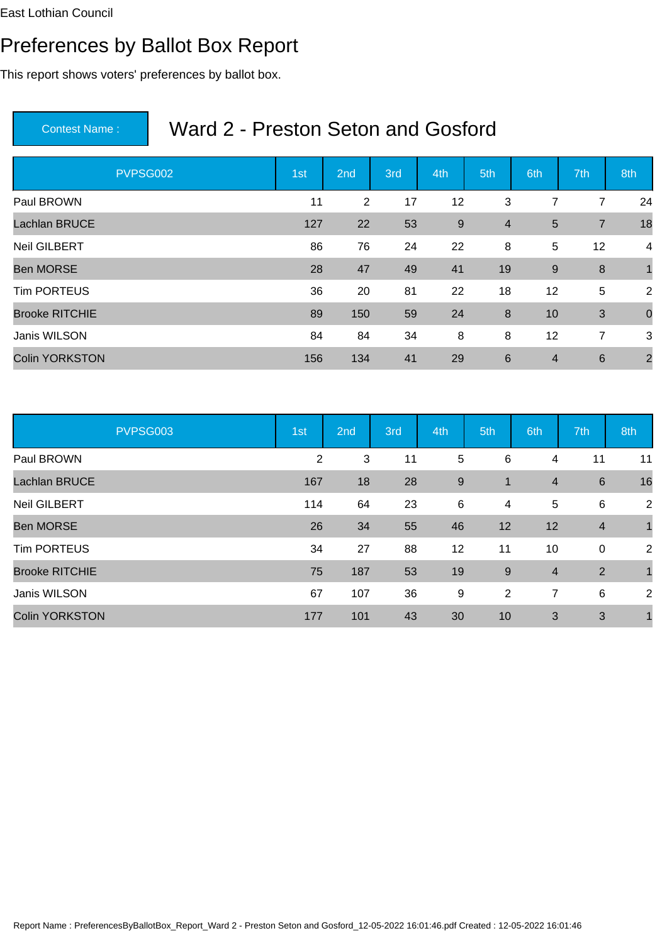# Preferences by Ballot Box Report

This report shows voters' preferences by ballot box.

| PVPSG002              | 1st | 2nd | 3rd | 4th              | 5th             | 6th            | 7th              | 8th            |
|-----------------------|-----|-----|-----|------------------|-----------------|----------------|------------------|----------------|
| Paul BROWN            | 11  | 2   | 17  | 12               | 3               | 7              | 7                | 24             |
| <b>Lachlan BRUCE</b>  | 127 | 22  | 53  | $\boldsymbol{9}$ | $\overline{4}$  | 5              | $\overline{7}$   | 18             |
| <b>Neil GILBERT</b>   | 86  | 76  | 24  | 22               | 8               | 5              | 12               | 4              |
| <b>Ben MORSE</b>      | 28  | 47  | 49  | 41               | 19              | $9\,$          | $\boldsymbol{8}$ | $\mathbf{1}$   |
| <b>Tim PORTEUS</b>    | 36  | 20  | 81  | 22               | 18              | 12             | 5                | 2              |
| <b>Brooke RITCHIE</b> | 89  | 150 | 59  | 24               | 8               | 10             | 3                | $\mathbf 0$    |
| Janis WILSON          | 84  | 84  | 34  | 8                | 8               | 12             | 7                | 3              |
| <b>Colin YORKSTON</b> | 156 | 134 | 41  | 29               | $6\phantom{1}6$ | $\overline{4}$ | $6\phantom{1}6$  | $\overline{2}$ |

| PVPSG003              | 1st | 2nd | 3rd | 4th            | 5th            | 6th                     | 7th            | 8th            |
|-----------------------|-----|-----|-----|----------------|----------------|-------------------------|----------------|----------------|
| Paul BROWN            | 2   | 3   | 11  | 5              | 6              | 4                       | 11             | 11             |
| <b>Lachlan BRUCE</b>  | 167 | 18  | 28  | $\overline{9}$ | $\mathbf{1}$   | 4                       | 6              | 16             |
| <b>Neil GILBERT</b>   | 114 | 64  | 23  | 6              | 4              | 5                       | 6              | $\overline{2}$ |
| <b>Ben MORSE</b>      | 26  | 34  | 55  | 46             | 12             | 12                      | $\overline{4}$ | $\mathbf 1$    |
| <b>Tim PORTEUS</b>    | 34  | 27  | 88  | 12             | 11             | 10                      | $\overline{0}$ | 2              |
| <b>Brooke RITCHIE</b> | 75  | 187 | 53  | 19             | $9\,$          | $\overline{\mathbf{4}}$ | 2              | $\overline{1}$ |
| Janis WILSON          | 67  | 107 | 36  | 9              | $\overline{2}$ | 7                       | 6              | 2              |
| <b>Colin YORKSTON</b> | 177 | 101 | 43  | 30             | 10             | 3                       | 3              |                |